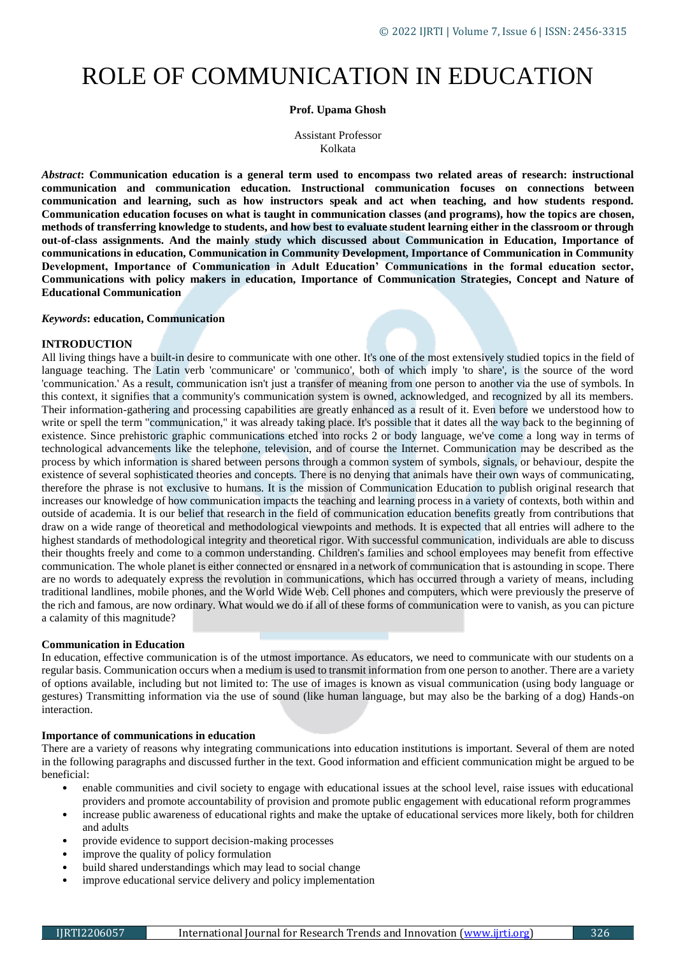# ROLE OF COMMUNICATION IN EDUCATION

## **Prof. Upama Ghosh**

Assistant Professor Kolkata

*Abstract***: Communication education is a general term used to encompass two related areas of research: instructional communication and communication education. Instructional communication focuses on connections between communication and learning, such as how instructors speak and act when teaching, and how students respond. Communication education focuses on what is taught in communication classes (and programs), how the topics are chosen, methods of transferring knowledge to students, and how best to evaluate student learning either in the classroom or through out-of-class assignments. And the mainly study which discussed about Communication in Education, Importance of communications in education, Communication in Community Development, Importance of Communication in Community Development, Importance of Communication in Adult Education' Communications in the formal education sector, Communications with policy makers in education, Importance of Communication Strategies, Concept and Nature of Educational Communication**

#### *Keywords***: education, Communication**

#### **INTRODUCTION**

All living things have a built-in desire to communicate with one other. It's one of the most extensively studied topics in the field of language teaching. The Latin verb 'communicare' or 'communico', both of which imply 'to share', is the source of the word 'communication.' As a result, communication isn't just a transfer of meaning from one person to another via the use of symbols. In this context, it signifies that a community's communication system is owned, acknowledged, and recognized by all its members. Their information-gathering and processing capabilities are greatly enhanced as a result of it. Even before we understood how to write or spell the term "communication," it was already taking place. It's possible that it dates all the way back to the beginning of existence. Since prehistoric graphic communications etched into rocks 2 or body language, we've come a long way in terms of technological advancements like the telephone, television, and of course the Internet. Communication may be described as the process by which information is shared between persons through a common system of symbols, signals, or behaviour, despite the existence of several sophisticated theories and concepts. There is no denying that animals have their own ways of communicating, therefore the phrase is not exclusive to humans. It is the mission of Communication Education to publish original research that increases our knowledge of how communication impacts the teaching and learning process in a variety of contexts, both within and outside of academia. It is our belief that research in the field of communication education benefits greatly from contributions that draw on a wide range of theoretical and methodological viewpoints and methods. It is expected that all entries will adhere to the highest standards of methodological integrity and theoretical rigor. With successful communication, individuals are able to discuss their thoughts freely and come to a common understanding. Children's families and school employees may benefit from effective communication. The whole planet is either connected or ensnared in a network of communication that is astounding in scope. There are no words to adequately express the revolution in communications, which has occurred through a variety of means, including traditional landlines, mobile phones, and the World Wide Web. Cell phones and computers, which were previously the preserve of the rich and famous, are now ordinary. What would we do if all of these forms of communication were to vanish, as you can picture a calamity of this magnitude?

## **Communication in Education**

In education, effective communication is of the utmost importance. As educators, we need to communicate with our students on a regular basis. Communication occurs when a medium is used to transmit information from one person to another. There are a variety of options available, including but not limited to: The use of images is known as visual communication (using body language or gestures) Transmitting information via the use of sound (like human language, but may also be the barking of a dog) Hands-on interaction.

#### **Importance of communications in education**

There are a variety of reasons why integrating communications into education institutions is important. Several of them are noted in the following paragraphs and discussed further in the text. Good information and efficient communication might be argued to be beneficial:

- enable communities and civil society to engage with educational issues at the school level, raise issues with educational providers and promote accountability of provision and promote public engagement with educational reform programmes
- increase public awareness of educational rights and make the uptake of educational services more likely, both for children and adults
- provide evidence to support decision-making processes
- improve the quality of policy formulation
- build shared understandings which may lead to social change
- improve educational service delivery and policy implementation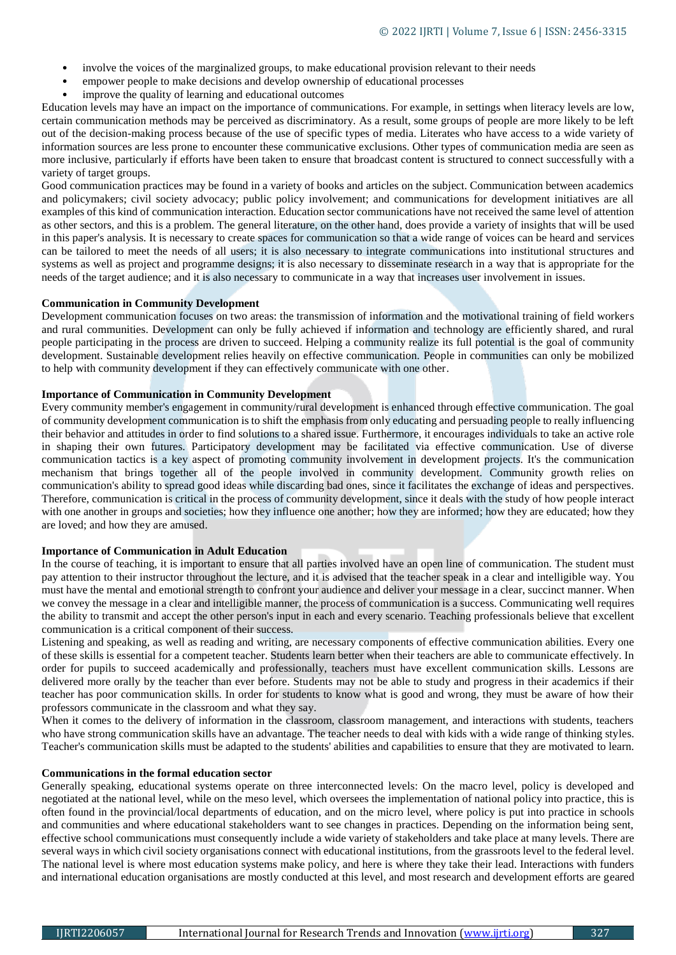- involve the voices of the marginalized groups, to make educational provision relevant to their needs
- empower people to make decisions and develop ownership of educational processes
- improve the quality of learning and educational outcomes

Education levels may have an impact on the importance of communications. For example, in settings when literacy levels are low, certain communication methods may be perceived as discriminatory. As a result, some groups of people are more likely to be left out of the decision-making process because of the use of specific types of media. Literates who have access to a wide variety of information sources are less prone to encounter these communicative exclusions. Other types of communication media are seen as more inclusive, particularly if efforts have been taken to ensure that broadcast content is structured to connect successfully with a variety of target groups.

Good communication practices may be found in a variety of books and articles on the subject. Communication between academics and policymakers; civil society advocacy; public policy involvement; and communications for development initiatives are all examples of this kind of communication interaction. Education sector communications have not received the same level of attention as other sectors, and this is a problem. The general literature, on the other hand, does provide a variety of insights that will be used in this paper's analysis. It is necessary to create spaces for communication so that a wide range of voices can be heard and services can be tailored to meet the needs of all users; it is also necessary to integrate communications into institutional structures and systems as well as project and programme designs; it is also necessary to disseminate research in a way that is appropriate for the needs of the target audience; and it is also necessary to communicate in a way that increases user involvement in issues.

# **Communication in Community Development**

Development communication focuses on two areas: the transmission of information and the motivational training of field workers and rural communities. Development can only be fully achieved if information and technology are efficiently shared, and rural people participating in the process are driven to succeed. Helping a community realize its full potential is the goal of community development. Sustainable development relies heavily on effective communication. People in communities can only be mobilized to help with community development if they can effectively communicate with one other.

# **Importance of Communication in Community Development**

Every community member's engagement in community/rural development is enhanced through effective communication. The goal of community development communication is to shift the emphasis from only educating and persuading people to really influencing their behavior and attitudes in order to find solutions to a shared issue. Furthermore, it encourages individuals to take an active role in shaping their own futures. Participatory development may be facilitated via effective communication. Use of diverse communication tactics is a key aspect of promoting community involvement in development projects. It's the communication mechanism that brings together all of the people involved in community development. Community growth relies on communication's ability to spread good ideas while discarding bad ones, since it facilitates the exchange of ideas and perspectives. Therefore, communication is critical in the process of community development, since it deals with the study of how people interact with one another in groups and societies; how they influence one another; how they are informed; how they are educated; how they are loved; and how they are amused.

## **Importance of Communication in Adult Education**

In the course of teaching, it is important to ensure that all parties involved have an open line of communication. The student must pay attention to their instructor throughout the lecture, and it is advised that the teacher speak in a clear and intelligible way. You must have the mental and emotional strength to confront your audience and deliver your message in a clear, succinct manner. When we convey the message in a clear and intelligible manner, the process of communication is a success. Communicating well requires the ability to transmit and accept the other person's input in each and every scenario. Teaching professionals believe that excellent communication is a critical component of their success.

Listening and speaking, as well as reading and writing, are necessary components of effective communication abilities. Every one of these skills is essential for a competent teacher. Students learn better when their teachers are able to communicate effectively. In order for pupils to succeed academically and professionally, teachers must have excellent communication skills. Lessons are delivered more orally by the teacher than ever before. Students may not be able to study and progress in their academics if their teacher has poor communication skills. In order for students to know what is good and wrong, they must be aware of how their professors communicate in the classroom and what they say.

When it comes to the delivery of information in the classroom, classroom management, and interactions with students, teachers who have strong communication skills have an advantage. The teacher needs to deal with kids with a wide range of thinking styles. Teacher's communication skills must be adapted to the students' abilities and capabilities to ensure that they are motivated to learn.

#### **Communications in the formal education sector**

Generally speaking, educational systems operate on three interconnected levels: On the macro level, policy is developed and negotiated at the national level, while on the meso level, which oversees the implementation of national policy into practice, this is often found in the provincial/local departments of education, and on the micro level, where policy is put into practice in schools and communities and where educational stakeholders want to see changes in practices. Depending on the information being sent, effective school communications must consequently include a wide variety of stakeholders and take place at many levels. There are several ways in which civil society organisations connect with educational institutions, from the grassroots level to the federal level. The national level is where most education systems make policy, and here is where they take their lead. Interactions with funders and international education organisations are mostly conducted at this level, and most research and development efforts are geared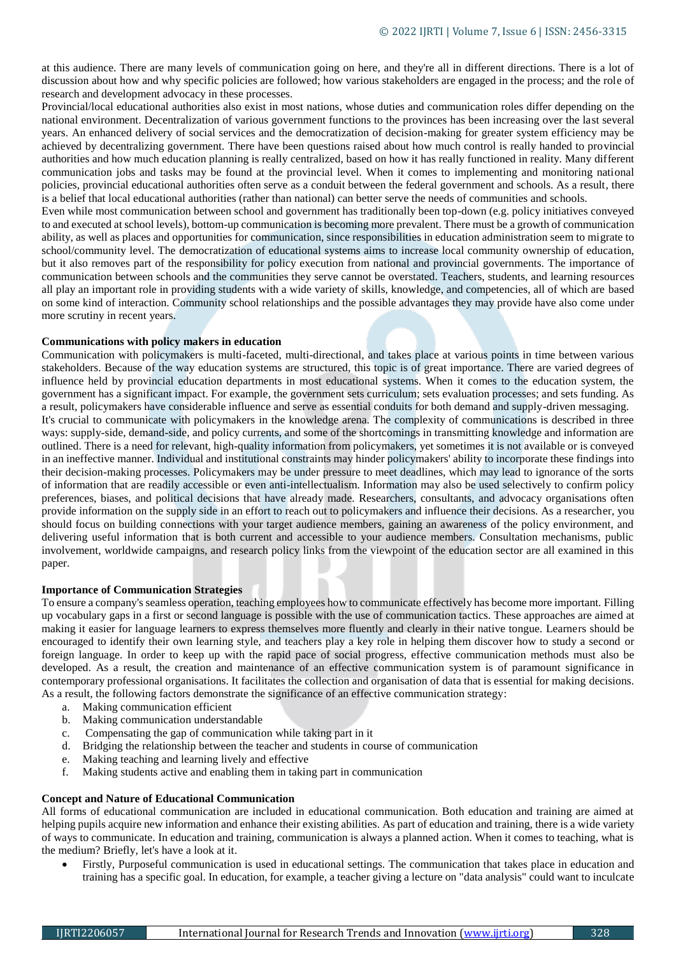at this audience. There are many levels of communication going on here, and they're all in different directions. There is a lot of discussion about how and why specific policies are followed; how various stakeholders are engaged in the process; and the role of research and development advocacy in these processes.

Provincial/local educational authorities also exist in most nations, whose duties and communication roles differ depending on the national environment. Decentralization of various government functions to the provinces has been increasing over the last several years. An enhanced delivery of social services and the democratization of decision-making for greater system efficiency may be achieved by decentralizing government. There have been questions raised about how much control is really handed to provincial authorities and how much education planning is really centralized, based on how it has really functioned in reality. Many different communication jobs and tasks may be found at the provincial level. When it comes to implementing and monitoring national policies, provincial educational authorities often serve as a conduit between the federal government and schools. As a result, there is a belief that local educational authorities (rather than national) can better serve the needs of communities and schools.

Even while most communication between school and government has traditionally been top-down (e.g. policy initiatives conveyed to and executed at school levels), bottom-up communication is becoming more prevalent. There must be a growth of communication ability, as well as places and opportunities for communication, since responsibilities in education administration seem to migrate to school/community level. The democratization of educational systems aims to increase local community ownership of education, but it also removes part of the responsibility for policy execution from national and provincial governments. The importance of communication between schools and the communities they serve cannot be overstated. Teachers, students, and learning resources all play an important role in providing students with a wide variety of skills, knowledge, and competencies, all of which are based on some kind of interaction. Community school relationships and the possible advantages they may provide have also come under more scrutiny in recent years.

## **Communications with policy makers in education**

Communication with policymakers is multi-faceted, multi-directional, and takes place at various points in time between various stakeholders. Because of the way education systems are structured, this topic is of great importance. There are varied degrees of influence held by provincial education departments in most educational systems. When it comes to the education system, the government has a significant impact. For example, the government sets curriculum; sets evaluation processes; and sets funding. As a result, policymakers have considerable influence and serve as essential conduits for both demand and supply-driven messaging. It's crucial to communicate with policymakers in the knowledge arena. The complexity of communications is described in three ways: supply-side, demand-side, and policy currents, and some of the shortcomings in transmitting knowledge and information are outlined. There is a need for relevant, high-quality information from policymakers, yet sometimes it is not available or is conveyed in an ineffective manner. Individual and institutional constraints may hinder policymakers' ability to incorporate these findings into their decision-making processes. Policymakers may be under pressure to meet deadlines, which may lead to ignorance of the sorts of information that are readily accessible or even anti-intellectualism. Information may also be used selectively to confirm policy preferences, biases, and political decisions that have already made. Researchers, consultants, and advocacy organisations often provide information on the supply side in an effort to reach out to policymakers and influence their decisions. As a researcher, you should focus on building connections with your target audience members, gaining an awareness of the policy environment, and delivering useful information that is both current and accessible to your audience members. Consultation mechanisms, public involvement, worldwide campaigns, and research policy links from the viewpoint of the education sector are all examined in this paper.

#### **Importance of Communication Strategies**

To ensure a company's seamless operation, teaching employees how to communicate effectively has become more important. Filling up vocabulary gaps in a first or second language is possible with the use of communication tactics. These approaches are aimed at making it easier for language learners to express themselves more fluently and clearly in their native tongue. Learners should be encouraged to identify their own learning style, and teachers play a key role in helping them discover how to study a second or foreign language. In order to keep up with the rapid pace of social progress, effective communication methods must also be developed. As a result, the creation and maintenance of an effective communication system is of paramount significance in contemporary professional organisations. It facilitates the collection and organisation of data that is essential for making decisions. As a result, the following factors demonstrate the significance of an effective communication strategy:

- a. Making communication efficient
- b. Making communication understandable
- c. Compensating the gap of communication while taking part in it
- d. Bridging the relationship between the teacher and students in course of communication
- e. Making teaching and learning lively and effective
- f. Making students active and enabling them in taking part in communication

#### **Concept and Nature of Educational Communication**

All forms of educational communication are included in educational communication. Both education and training are aimed at helping pupils acquire new information and enhance their existing abilities. As part of education and training, there is a wide variety of ways to communicate. In education and training, communication is always a planned action. When it comes to teaching, what is the medium? Briefly, let's have a look at it.

 Firstly, Purposeful communication is used in educational settings. The communication that takes place in education and training has a specific goal. In education, for example, a teacher giving a lecture on "data analysis" could want to inculcate